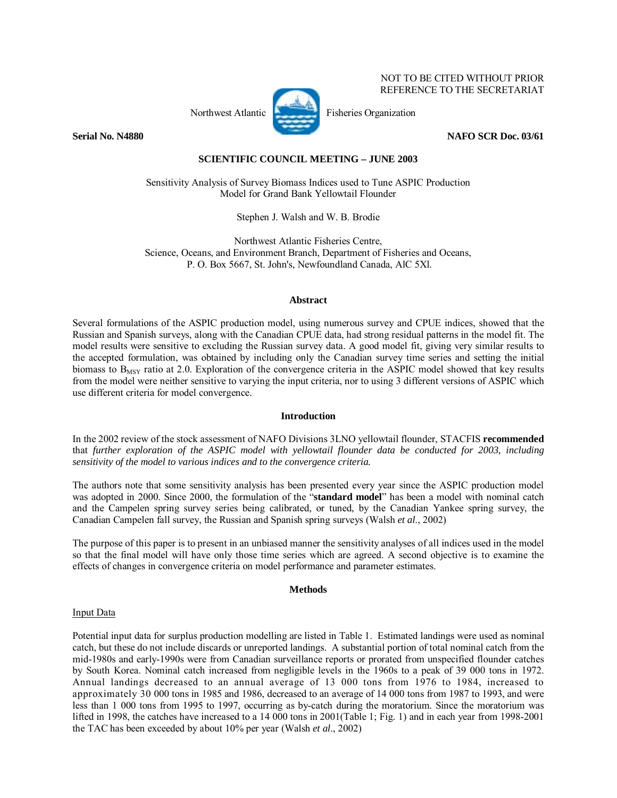# Northwest Atlantic Fisheries Organization

 NOT TO BE CITED WITHOUT PRIOR REFERENCE TO THE SECRETARIAT

## **Serial No. N4880** NAFO SCR Doc. 03/61

# **SCIENTIFIC COUNCIL MEETING – JUNE 2003**

Sensitivity Analysis of Survey Biomass Indices used to Tune ASPIC Production Model for Grand Bank Yellowtail Flounder

Stephen J. Walsh and W. B. Brodie

Northwest Atlantic Fisheries Centre, Science, Oceans, and Environment Branch, Department of Fisheries and Oceans, P. O. Box 5667, St. John's, Newfoundland Canada, AlC 5Xl.

## **Abstract**

Several formulations of the ASPIC production model, using numerous survey and CPUE indices, showed that the Russian and Spanish surveys, along with the Canadian CPUE data, had strong residual patterns in the model fit. The model results were sensitive to excluding the Russian survey data. A good model fit, giving very similar results to the accepted formulation, was obtained by including only the Canadian survey time series and setting the initial biomass to  $B_{MSV}$  ratio at 2.0. Exploration of the convergence criteria in the ASPIC model showed that key results from the model were neither sensitive to varying the input criteria, nor to using 3 different versions of ASPIC which use different criteria for model convergence.

# **Introduction**

In the 2002 review of the stock assessment of NAFO Divisions 3LNO yellowtail flounder, STACFIS **recommended** that *further exploration of the ASPIC model with yellowtail flounder data be conducted for 2003, including sensitivity of the model to various indices and to the convergence criteria.* 

The authors note that some sensitivity analysis has been presented every year since the ASPIC production model was adopted in 2000. Since 2000, the formulation of the "**standard model**" has been a model with nominal catch and the Campelen spring survey series being calibrated, or tuned, by the Canadian Yankee spring survey, the Canadian Campelen fall survey, the Russian and Spanish spring surveys (Walsh *et al*., 2002)

The purpose of this paper is to present in an unbiased manner the sensitivity analyses of all indices used in the model so that the final model will have only those time series which are agreed. A second objective is to examine the effects of changes in convergence criteria on model performance and parameter estimates.

# **Methods**

## Input Data

Potential input data for surplus production modelling are listed in Table 1. Estimated landings were used as nominal catch, but these do not include discards or unreported landings. A substantial portion of total nominal catch from the mid-1980s and early-1990s were from Canadian surveillance reports or prorated from unspecified flounder catches by South Korea. Nominal catch increased from negligible levels in the 1960s to a peak of 39 000 tons in 1972. Annual landings decreased to an annual average of 13 000 tons from 1976 to 1984, increased to approximately 30 000 tons in 1985 and 1986, decreased to an average of 14 000 tons from 1987 to 1993, and were less than 1 000 tons from 1995 to 1997, occurring as by-catch during the moratorium. Since the moratorium was lifted in 1998, the catches have increased to a 14 000 tons in 2001(Table 1; Fig. 1) and in each year from 1998-2001 the TAC has been exceeded by about 10% per year (Walsh *et al*., 2002)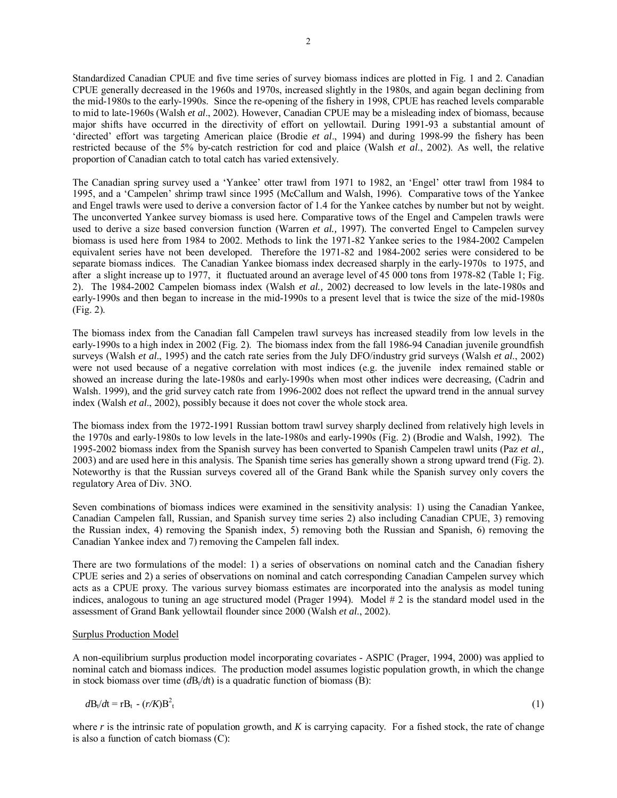Standardized Canadian CPUE and five time series of survey biomass indices are plotted in Fig. 1 and 2. Canadian CPUE generally decreased in the 1960s and 1970s, increased slightly in the 1980s, and again began declining from the mid-1980s to the early-1990s. Since the re-opening of the fishery in 1998, CPUE has reached levels comparable to mid to late-1960s (Walsh *et al*., 2002). However, Canadian CPUE may be a misleading index of biomass, because major shifts have occurred in the directivity of effort on yellowtail. During 1991-93 a substantial amount of ëdirectedí effort was targeting American plaice (Brodie *et al*., 1994) and during 1998-99 the fishery has been restricted because of the 5% by-catch restriction for cod and plaice (Walsh *et al*., 2002). As well, the relative proportion of Canadian catch to total catch has varied extensively.

The Canadian spring survey used a 'Yankee' otter trawl from 1971 to 1982, an 'Engel' otter trawl from 1984 to 1995, and a 'Campelen' shrimp trawl since 1995 (McCallum and Walsh, 1996). Comparative tows of the Yankee and Engel trawls were used to derive a conversion factor of 1.4 for the Yankee catches by number but not by weight. The unconverted Yankee survey biomass is used here. Comparative tows of the Engel and Campelen trawls were used to derive a size based conversion function (Warren *et al.,* 1997). The converted Engel to Campelen survey biomass is used here from 1984 to 2002. Methods to link the 1971-82 Yankee series to the 1984-2002 Campelen equivalent series have not been developed. Therefore the 1971-82 and 1984-2002 series were considered to be separate biomass indices. The Canadian Yankee biomass index decreased sharply in the early-1970s to 1975, and after a slight increase up to 1977, it fluctuated around an average level of 45 000 tons from 1978-82 (Table 1; Fig. 2). The 1984-2002 Campelen biomass index (Walsh *et al.,* 2002) decreased to low levels in the late-1980s and early-1990s and then began to increase in the mid-1990s to a present level that is twice the size of the mid-1980s (Fig. 2).

The biomass index from the Canadian fall Campelen trawl surveys has increased steadily from low levels in the early-1990s to a high index in 2002 (Fig. 2). The biomass index from the fall 1986-94 Canadian juvenile groundfish surveys (Walsh *et al*., 1995) and the catch rate series from the July DFO/industry grid surveys (Walsh *et al*., 2002) were not used because of a negative correlation with most indices (e.g. the juvenile index remained stable or showed an increase during the late-1980s and early-1990s when most other indices were decreasing, (Cadrin and Walsh. 1999), and the grid survey catch rate from 1996-2002 does not reflect the upward trend in the annual survey index (Walsh *et al*., 2002), possibly because it does not cover the whole stock area.

The biomass index from the 1972-1991 Russian bottom trawl survey sharply declined from relatively high levels in the 1970s and early-1980s to low levels in the late-1980s and early-1990s (Fig. 2) (Brodie and Walsh, 1992). The 1995-2002 biomass index from the Spanish survey has been converted to Spanish Campelen trawl units (Paz *et al.,* 2003) and are used here in this analysis. The Spanish time series has generally shown a strong upward trend (Fig. 2). Noteworthy is that the Russian surveys covered all of the Grand Bank while the Spanish survey only covers the regulatory Area of Div. 3NO.

Seven combinations of biomass indices were examined in the sensitivity analysis: 1) using the Canadian Yankee, Canadian Campelen fall, Russian, and Spanish survey time series 2) also including Canadian CPUE, 3) removing the Russian index, 4) removing the Spanish index, 5) removing both the Russian and Spanish, 6) removing the Canadian Yankee index and 7) removing the Campelen fall index.

There are two formulations of the model: 1) a series of observations on nominal catch and the Canadian fishery CPUE series and 2) a series of observations on nominal and catch corresponding Canadian Campelen survey which acts as a CPUE proxy. The various survey biomass estimates are incorporated into the analysis as model tuning indices, analogous to tuning an age structured model (Prager 1994). Model  $# 2$  is the standard model used in the assessment of Grand Bank yellowtail flounder since 2000 (Walsh *et al*., 2002).

## Surplus Production Model

A non-equilibrium surplus production model incorporating covariates - ASPIC (Prager, 1994, 2000) was applied to nominal catch and biomass indices. The production model assumes logistic population growth, in which the change in stock biomass over time  $(dB_t/dt)$  is a quadratic function of biomass (B):

$$
d\mathbf{B}_t/dt = r\mathbf{B}_t - (r/K)\mathbf{B}_t^2 \tag{1}
$$

where *r* is the intrinsic rate of population growth, and *K* is carrying capacity. For a fished stock, the rate of change is also a function of catch biomass (C):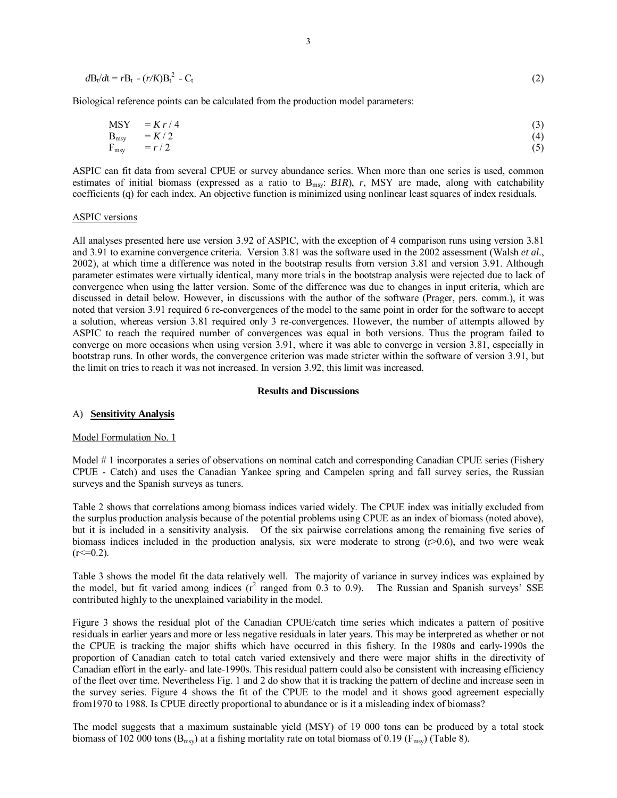$$
d\mathbf{B}_t/dt = r\mathbf{B}_t \cdot (r/K)\mathbf{B}_t^2 - \mathbf{C}_t \tag{2}
$$

Biological reference points can be calculated from the production model parameters:

$$
MSY = Kr/4
$$
  
\n
$$
B_{\text{msg}} = K/2
$$
  
\n
$$
F_{\text{msg}} = r/2
$$
\n(3)  
\n
$$
(4)
$$
  
\n
$$
(5)
$$

ASPIC can fit data from several CPUE or survey abundance series. When more than one series is used, common estimates of initial biomass (expressed as a ratio to B<sub>msy</sub>: *B1R*), *r*, MSY are made, along with catchability coefficients (q) for each index. An objective function is minimized using nonlinear least squares of index residuals.

#### ASPIC versions

All analyses presented here use version 3.92 of ASPIC, with the exception of 4 comparison runs using version 3.81 and 3.91 to examine convergence criteria. Version 3.81 was the software used in the 2002 assessment (Walsh *et al*., 2002), at which time a difference was noted in the bootstrap results from version 3.81 and version 3.91. Although parameter estimates were virtually identical, many more trials in the bootstrap analysis were rejected due to lack of convergence when using the latter version. Some of the difference was due to changes in input criteria, which are discussed in detail below. However, in discussions with the author of the software (Prager, pers. comm.), it was noted that version 3.91 required 6 re-convergences of the model to the same point in order for the software to accept a solution, whereas version 3.81 required only 3 re-convergences. However, the number of attempts allowed by ASPIC to reach the required number of convergences was equal in both versions. Thus the program failed to converge on more occasions when using version 3.91, where it was able to converge in version 3.81, especially in bootstrap runs. In other words, the convergence criterion was made stricter within the software of version 3.91, but the limit on tries to reach it was not increased. In version 3.92, this limit was increased.

#### **Results and Discussions**

#### A) **Sensitivity Analysis**

## Model Formulation No. 1

Model # 1 incorporates a series of observations on nominal catch and corresponding Canadian CPUE series (Fishery CPUE - Catch) and uses the Canadian Yankee spring and Campelen spring and fall survey series, the Russian surveys and the Spanish surveys as tuners.

Table 2 shows that correlations among biomass indices varied widely. The CPUE index was initially excluded from the surplus production analysis because of the potential problems using CPUE as an index of biomass (noted above), but it is included in a sensitivity analysis. Of the six pairwise correlations among the remaining five series of biomass indices included in the production analysis, six were moderate to strong  $(r>0.6)$ , and two were weak  $(r \le 0.2)$ .

Table 3 shows the model fit the data relatively well. The majority of variance in survey indices was explained by the model, but fit varied among indices  $(r^2 \text{ ranged from } 0.3 \text{ to } 0.9)$ . The Russian and Spanish surveys' SSE contributed highly to the unexplained variability in the model.

Figure 3 shows the residual plot of the Canadian CPUE/catch time series which indicates a pattern of positive residuals in earlier years and more or less negative residuals in later years. This may be interpreted as whether or not the CPUE is tracking the major shifts which have occurred in this fishery. In the 1980s and early-1990s the proportion of Canadian catch to total catch varied extensively and there were major shifts in the directivity of Canadian effort in the early- and late-1990s. This residual pattern could also be consistent with increasing efficiency of the fleet over time. Nevertheless Fig. 1 and 2 do show that it is tracking the pattern of decline and increase seen in the survey series. Figure 4 shows the fit of the CPUE to the model and it shows good agreement especially from1970 to 1988. Is CPUE directly proportional to abundance or is it a misleading index of biomass?

The model suggests that a maximum sustainable yield (MSY) of 19 000 tons can be produced by a total stock biomass of 102 000 tons ( $B_{msy}$ ) at a fishing mortality rate on total biomass of 0.19 ( $F_{msy}$ ) (Table 8).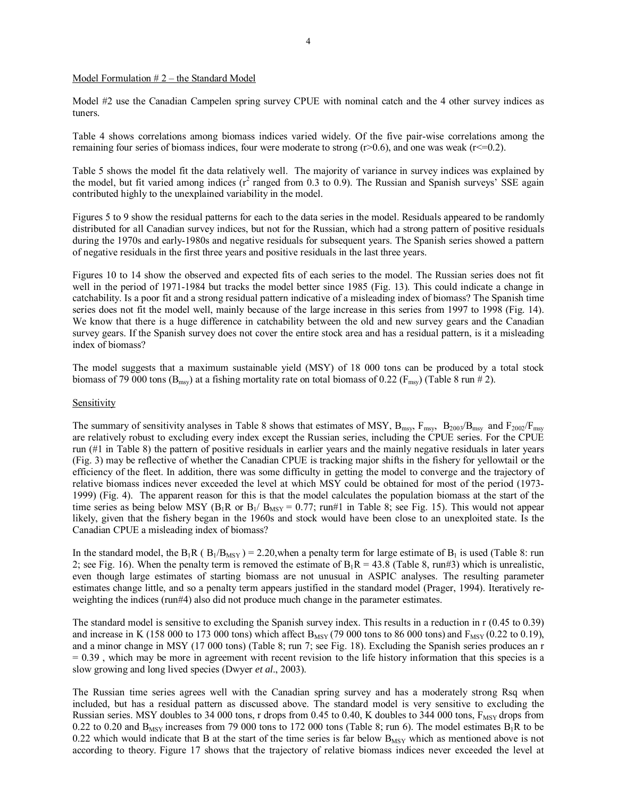## Model Formulation  $# 2$  – the Standard Model

Model #2 use the Canadian Campelen spring survey CPUE with nominal catch and the 4 other survey indices as tuners.

Table 4 shows correlations among biomass indices varied widely. Of the five pair-wise correlations among the remaining four series of biomass indices, four were moderate to strong  $(r>0.6)$ , and one was weak  $(r<=0.2)$ .

Table 5 shows the model fit the data relatively well. The majority of variance in survey indices was explained by the model, but fit varied among indices  $(r^2 \text{ ranged from } 0.3 \text{ to } 0.9)$ . The Russian and Spanish surveys' SSE again contributed highly to the unexplained variability in the model.

Figures 5 to 9 show the residual patterns for each to the data series in the model. Residuals appeared to be randomly distributed for all Canadian survey indices, but not for the Russian, which had a strong pattern of positive residuals during the 1970s and early-1980s and negative residuals for subsequent years. The Spanish series showed a pattern of negative residuals in the first three years and positive residuals in the last three years.

Figures 10 to 14 show the observed and expected fits of each series to the model. The Russian series does not fit well in the period of 1971-1984 but tracks the model better since 1985 (Fig. 13). This could indicate a change in catchability. Is a poor fit and a strong residual pattern indicative of a misleading index of biomass? The Spanish time series does not fit the model well, mainly because of the large increase in this series from 1997 to 1998 (Fig. 14). We know that there is a huge difference in catchability between the old and new survey gears and the Canadian survey gears. If the Spanish survey does not cover the entire stock area and has a residual pattern, is it a misleading index of biomass?

The model suggests that a maximum sustainable yield (MSY) of 18 000 tons can be produced by a total stock biomass of 79 000 tons ( $B_{\text{msy}}$ ) at a fishing mortality rate on total biomass of 0.22 ( $F_{\text{msy}}$ ) (Table 8 run # 2).

#### **Sensitivity**

The summary of sensitivity analyses in Table 8 shows that estimates of MSY,  $B_{msv}$ ,  $F_{msv}$ ,  $B_{2003}/B_{msv}$  and  $F_{2002}/F_{msv}$ are relatively robust to excluding every index except the Russian series, including the CPUE series. For the CPUE run (#1 in Table 8) the pattern of positive residuals in earlier years and the mainly negative residuals in later years (Fig. 3) may be reflective of whether the Canadian CPUE is tracking major shifts in the fishery for yellowtail or the efficiency of the fleet. In addition, there was some difficulty in getting the model to converge and the trajectory of relative biomass indices never exceeded the level at which MSY could be obtained for most of the period (1973- 1999) (Fig. 4). The apparent reason for this is that the model calculates the population biomass at the start of the time series as being below MSY ( $B_1R$  or  $B_1/B_{MSY} = 0.77$ ; run#1 in Table 8; see Fig. 15). This would not appear likely, given that the fishery began in the 1960s and stock would have been close to an unexploited state. Is the Canadian CPUE a misleading index of biomass?

In the standard model, the B<sub>1</sub>R ( $B_1/B_{MSY}$ ) = 2.20, when a penalty term for large estimate of B<sub>1</sub> is used (Table 8: run 2; see Fig. 16). When the penalty term is removed the estimate of  $B_1R = 43.8$  (Table 8, run#3) which is unrealistic, even though large estimates of starting biomass are not unusual in ASPIC analyses. The resulting parameter estimates change little, and so a penalty term appears justified in the standard model (Prager, 1994). Iteratively reweighting the indices (run#4) also did not produce much change in the parameter estimates.

The standard model is sensitive to excluding the Spanish survey index. This results in a reduction in r (0.45 to 0.39) and increase in K (158 000 to 173 000 tons) which affect  $B_{MSY}$  (79 000 tons to 86 000 tons) and  $F_{MSY}$  (0.22 to 0.19), and a minor change in MSY (17 000 tons) (Table 8; run 7; see Fig. 18). Excluding the Spanish series produces an r  $= 0.39$ , which may be more in agreement with recent revision to the life history information that this species is a slow growing and long lived species (Dwyer *et al*., 2003).

The Russian time series agrees well with the Canadian spring survey and has a moderately strong Rsq when included, but has a residual pattern as discussed above. The standard model is very sensitive to excluding the Russian series. MSY doubles to 34 000 tons, r drops from 0.45 to 0.40, K doubles to 344 000 tons,  $F_{\text{MSY}}$  drops from 0.22 to 0.20 and  $B_{MSY}$  increases from 79 000 tons to 172 000 tons (Table 8; run 6). The model estimates  $B_1R$  to be 0.22 which would indicate that B at the start of the time series is far below  $B_{MSY}$  which as mentioned above is not according to theory. Figure 17 shows that the trajectory of relative biomass indices never exceeded the level at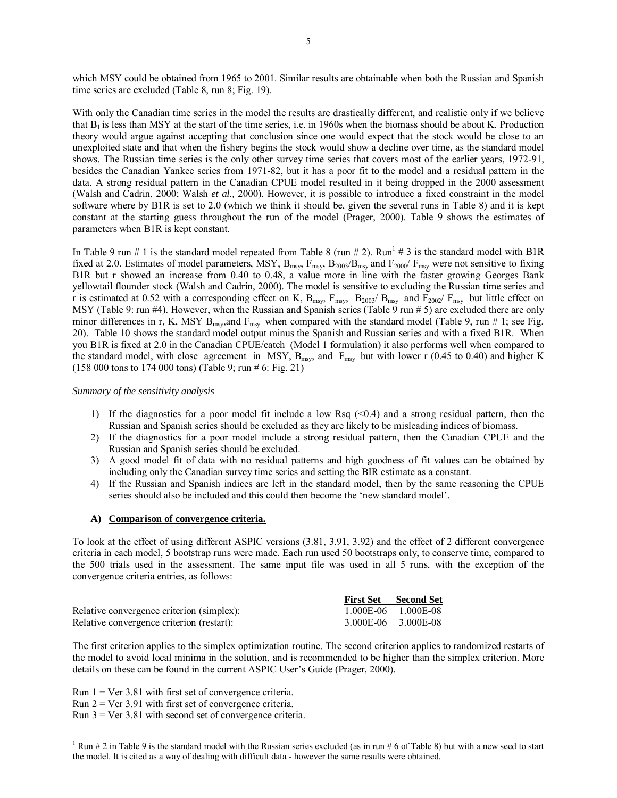which MSY could be obtained from 1965 to 2001. Similar results are obtainable when both the Russian and Spanish time series are excluded (Table 8, run 8; Fig. 19).

With only the Canadian time series in the model the results are drastically different, and realistic only if we believe that  $B_1$  is less than MSY at the start of the time series, i.e. in 1960s when the biomass should be about K. Production theory would argue against accepting that conclusion since one would expect that the stock would be close to an unexploited state and that when the fishery begins the stock would show a decline over time, as the standard model shows. The Russian time series is the only other survey time series that covers most of the earlier years, 1972-91, besides the Canadian Yankee series from 1971-82, but it has a poor fit to the model and a residual pattern in the data. A strong residual pattern in the Canadian CPUE model resulted in it being dropped in the 2000 assessment (Walsh and Cadrin, 2000; Walsh *et al.,* 2000). However, it is possible to introduce a fixed constraint in the model software where by B1R is set to 2.0 (which we think it should be, given the several runs in Table 8) and it is kept constant at the starting guess throughout the run of the model (Prager, 2000). Table 9 shows the estimates of parameters when B1R is kept constant.

In Table 9 run # 1 is the standard model repeated from Table 8 (run # 2). Run<sup>1</sup> # 3 is the standard model with B1R fixed at 2.0. Estimates of model parameters, MSY,  $B_{msy}$ ,  $F_{msy}$ ,  $B_{2003}/B_{msy}$  and  $F_{2000}/F_{msy}$  were not sensitive to fixing B1R but r showed an increase from 0.40 to 0.48, a value more in line with the faster growing Georges Bank yellowtail flounder stock (Walsh and Cadrin, 2000). The model is sensitive to excluding the Russian time series and r is estimated at 0.52 with a corresponding effect on K,  $B_{msy}$ ,  $F_{msy}$ ,  $B_{2003}/B_{msy}$  and  $F_{2002}/F_{msy}$  but little effect on MSY (Table 9: run #4). However, when the Russian and Spanish series (Table 9 run # 5) are excluded there are only minor differences in r, K, MSY  $B_{msy}$ , and  $F_{msy}$  when compared with the standard model (Table 9, run # 1; see Fig. 20). Table 10 shows the standard model output minus the Spanish and Russian series and with a fixed B1R. When you B1R is fixed at 2.0 in the Canadian CPUE/catch (Model 1 formulation) it also performs well when compared to the standard model, with close agreement in MSY,  $B_{msy}$ , and  $F_{msy}$  but with lower r (0.45 to 0.40) and higher K (158 000 tons to 174 000 tons) (Table 9; run # 6: Fig. 21)

## *Summary of the sensitivity analysis*

- 1) If the diagnostics for a poor model fit include a low Rsq  $\left($  <0.4) and a strong residual pattern, then the Russian and Spanish series should be excluded as they are likely to be misleading indices of biomass.
- 2) If the diagnostics for a poor model include a strong residual pattern, then the Canadian CPUE and the Russian and Spanish series should be excluded.
- 3) A good model fit of data with no residual patterns and high goodness of fit values can be obtained by including only the Canadian survey time series and setting the BIR estimate as a constant.
- 4) If the Russian and Spanish indices are left in the standard model, then by the same reasoning the CPUE series should also be included and this could then become the 'new standard model'.

## **A) Comparison of convergence criteria.**

To look at the effect of using different ASPIC versions (3.81, 3.91, 3.92) and the effect of 2 different convergence criteria in each model, 5 bootstrap runs were made. Each run used 50 bootstraps only, to conserve time, compared to the 500 trials used in the assessment. The same input file was used in all 5 runs, with the exception of the convergence criteria entries, as follows:

|                                           | <b>First Set Second Set</b> |
|-------------------------------------------|-----------------------------|
| Relative convergence criterion (simplex): | 1.000E-06 1.000E-08         |
| Relative convergence criterion (restart): | 3.000E-06 3.000E-08         |

The first criterion applies to the simplex optimization routine. The second criterion applies to randomized restarts of the model to avoid local minima in the solution, and is recommended to be higher than the simplex criterion. More details on these can be found in the current ASPIC User's Guide (Prager, 2000).

Run  $1 = \text{Ver } 3.81$  with first set of convergence criteria.

Run  $2$  = Ver 3.91 with first set of convergence criteria.

Run 3 = Ver 3.81 with second set of convergence criteria.

 $\frac{1}{1}$  Run # 2 in Table 9 is the standard model with the Russian series excluded (as in run # 6 of Table 8) but with a new seed to start the model. It is cited as a way of dealing with difficult data - however the same results were obtained.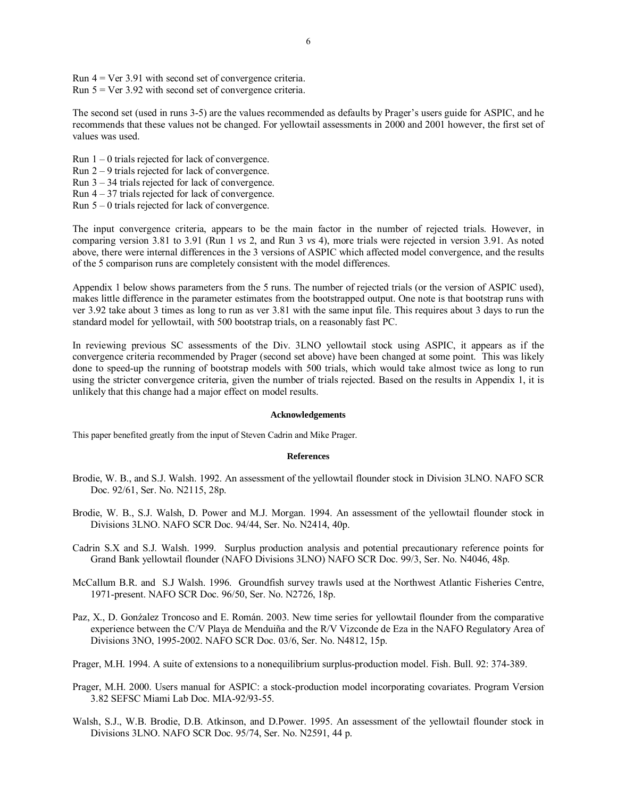Run 4 = Ver 3.91 with second set of convergence criteria. Run  $5 = \text{Ver } 3.92$  with second set of convergence criteria.

The second set (used in runs 3-5) are the values recommended as defaults by Prager's users guide for ASPIC, and he recommends that these values not be changed. For yellowtail assessments in 2000 and 2001 however, the first set of values was used.

- Run  $1 0$  trials rejected for lack of convergence.
- Run  $2 9$  trials rejected for lack of convergence.
- Run  $3 34$  trials rejected for lack of convergence.
- Run  $4 37$  trials rejected for lack of convergence.
- Run  $5 0$  trials rejected for lack of convergence.

The input convergence criteria, appears to be the main factor in the number of rejected trials. However, in comparing version 3.81 to 3.91 (Run 1 *vs* 2, and Run 3 *vs* 4), more trials were rejected in version 3.91. As noted above, there were internal differences in the 3 versions of ASPIC which affected model convergence, and the results of the 5 comparison runs are completely consistent with the model differences.

Appendix 1 below shows parameters from the 5 runs. The number of rejected trials (or the version of ASPIC used), makes little difference in the parameter estimates from the bootstrapped output. One note is that bootstrap runs with ver 3.92 take about 3 times as long to run as ver 3.81 with the same input file. This requires about 3 days to run the standard model for yellowtail, with 500 bootstrap trials, on a reasonably fast PC.

In reviewing previous SC assessments of the Div. 3LNO yellowtail stock using ASPIC, it appears as if the convergence criteria recommended by Prager (second set above) have been changed at some point. This was likely done to speed-up the running of bootstrap models with 500 trials, which would take almost twice as long to run using the stricter convergence criteria, given the number of trials rejected. Based on the results in Appendix 1, it is unlikely that this change had a major effect on model results.

#### **Acknowledgements**

This paper benefited greatly from the input of Steven Cadrin and Mike Prager.

#### **References**

- Brodie, W. B., and S.J. Walsh. 1992. An assessment of the yellowtail flounder stock in Division 3LNO. NAFO SCR Doc. 92/61, Ser. No. N2115, 28p.
- Brodie, W. B., S.J. Walsh, D. Power and M.J. Morgan. 1994. An assessment of the yellowtail flounder stock in Divisions 3LNO. NAFO SCR Doc. 94/44, Ser. No. N2414, 40p.
- Cadrin S.X and S.J. Walsh. 1999. Surplus production analysis and potential precautionary reference points for Grand Bank yellowtail flounder (NAFO Divisions 3LNO) NAFO SCR Doc. 99/3, Ser. No. N4046, 48p.
- McCallum B.R. and S.J Walsh. 1996. Groundfish survey trawls used at the Northwest Atlantic Fisheries Centre, 1971-present. NAFO SCR Doc. 96/50, Ser. No. N2726, 18p.
- Paz, X., D. Gonźalez Troncoso and E. Román. 2003. New time series for yellowtail flounder from the comparative experience between the C/V Playa de Menduiña and the R/V Vizconde de Eza in the NAFO Regulatory Area of Divisions 3NO, 1995-2002. NAFO SCR Doc. 03/6, Ser. No. N4812, 15p.
- Prager, M.H. 1994. A suite of extensions to a nonequilibrium surplus-production model. Fish. Bull. 92: 374-389.
- Prager, M.H. 2000. Users manual for ASPIC: a stock-production model incorporating covariates. Program Version 3.82 SEFSC Miami Lab Doc. MIA-92/93-55.
- Walsh, S.J., W.B. Brodie, D.B. Atkinson, and D.Power. 1995. An assessment of the yellowtail flounder stock in Divisions 3LNO. NAFO SCR Doc. 95/74, Ser. No. N2591, 44 p.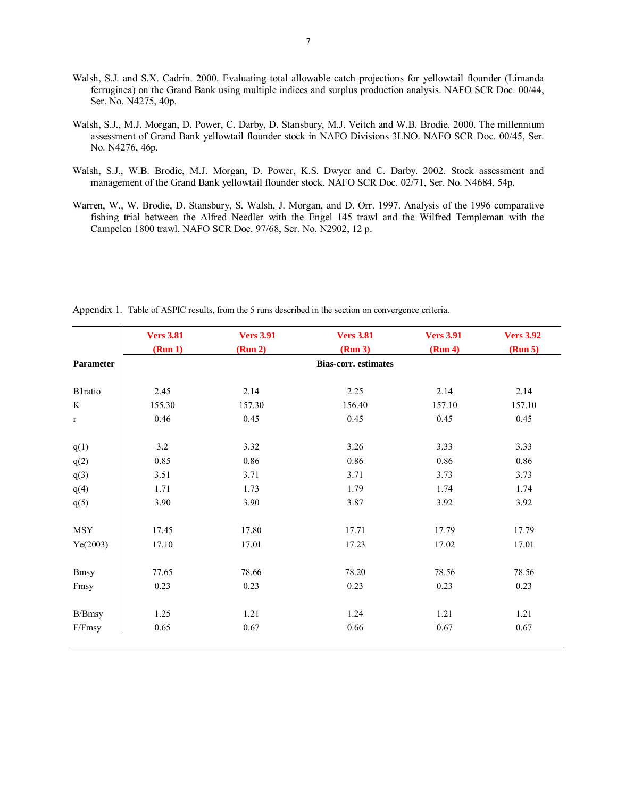- Walsh, S.J. and S.X. Cadrin. 2000. Evaluating total allowable catch projections for yellowtail flounder (Limanda ferruginea) on the Grand Bank using multiple indices and surplus production analysis. NAFO SCR Doc. 00/44, Ser. No. N4275, 40p.
- Walsh, S.J., M.J. Morgan, D. Power, C. Darby, D. Stansbury, M.J. Veitch and W.B. Brodie. 2000. The millennium assessment of Grand Bank yellowtail flounder stock in NAFO Divisions 3LNO. NAFO SCR Doc. 00/45, Ser. No. N4276, 46p.
- Walsh, S.J., W.B. Brodie, M.J. Morgan, D. Power, K.S. Dwyer and C. Darby. 2002. Stock assessment and management of the Grand Bank yellowtail flounder stock. NAFO SCR Doc. 02/71, Ser. No. N4684, 54p.
- Warren, W., W. Brodie, D. Stansbury, S. Walsh, J. Morgan, and D. Orr. 1997. Analysis of the 1996 comparative fishing trial between the Alfred Needler with the Engel 145 trawl and the Wilfred Templeman with the Campelen 1800 trawl. NAFO SCR Doc. 97/68, Ser. No. N2902, 12 p.

|                 | <b>Vers 3.81</b>            | <b>Vers 3.91</b> | <b>Vers 3.81</b> | <b>Vers 3.91</b> | <b>Vers 3.92</b> |  |  |  |  |
|-----------------|-----------------------------|------------------|------------------|------------------|------------------|--|--|--|--|
|                 | (Run 1)                     | (Run 2)          | (Run 3)          | (Run 4)          | (Run 5)          |  |  |  |  |
| Parameter       | <b>Bias-corr.</b> estimates |                  |                  |                  |                  |  |  |  |  |
| <b>B1</b> ratio | 2.45                        | 2.14             | 2.25             | 2.14             | 2.14             |  |  |  |  |
| K               | 155.30                      | 157.30           | 156.40           | 157.10           | 157.10           |  |  |  |  |
| $\mathbf{r}$    | 0.46                        | 0.45             | 0.45             | 0.45             | 0.45             |  |  |  |  |
| q(1)            | 3.2                         | 3.32             | 3.26             | 3.33             | 3.33             |  |  |  |  |
| q(2)            | 0.85                        | 0.86             | 0.86             | 0.86             | 0.86             |  |  |  |  |
| q(3)            | 3.51                        | 3.71             | 3.71             | 3.73             | 3.73             |  |  |  |  |
| q(4)            | 1.71                        | 1.73             | 1.79             | 1.74             | 1.74             |  |  |  |  |
| q(5)            | 3.90                        | 3.90             | 3.87             | 3.92             | 3.92             |  |  |  |  |
| <b>MSY</b>      | 17.45                       | 17.80            | 17.71            | 17.79            | 17.79            |  |  |  |  |
| Ye(2003)        | 17.10                       | 17.01            | 17.23            | 17.02            | 17.01            |  |  |  |  |
| <b>Bmsy</b>     | 77.65                       | 78.66            | 78.20            | 78.56            | 78.56            |  |  |  |  |
| Fmsy            | 0.23                        | 0.23             | 0.23             | 0.23             | 0.23             |  |  |  |  |
| B/Bmsy          | 1.25                        | 1.21             | 1.24             | 1.21             | 1.21             |  |  |  |  |
| F/Fmsy          | 0.65                        | 0.67             | 0.66             | 0.67             | 0.67             |  |  |  |  |

Appendix 1. Table of ASPIC results, from the 5 runs described in the section on convergence criteria.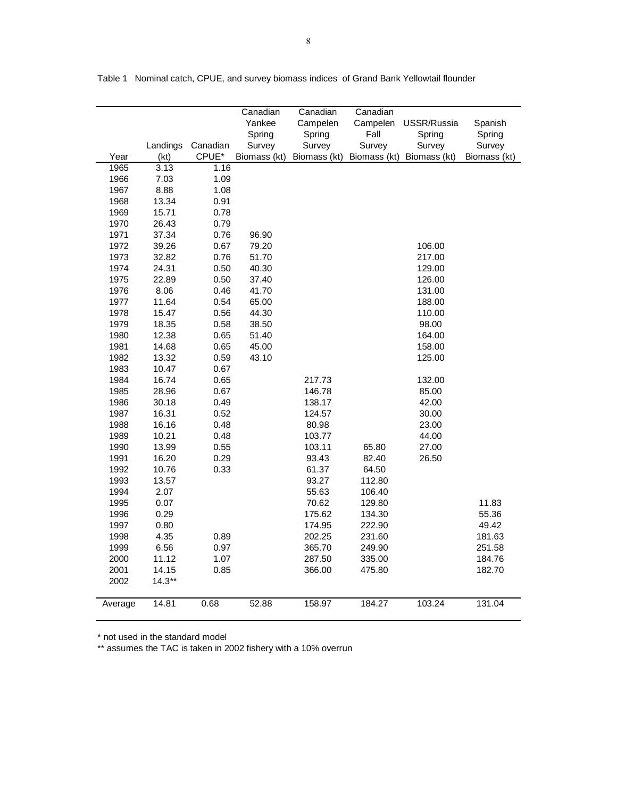|         |          |          | Canadian     | Canadian     | Canadian     |              |              |
|---------|----------|----------|--------------|--------------|--------------|--------------|--------------|
|         |          |          | Yankee       | Campelen     | Campelen     | USSR/Russia  | Spanish      |
|         |          |          | Spring       | Spring       | Fall         | Spring       | Spring       |
|         | Landings | Canadian | Survey       | Survey       | Survey       | Survey       | Survey       |
| Year    | (kt)     | CPUE*    | Biomass (kt) | Biomass (kt) | Biomass (kt) | Biomass (kt) | Biomass (kt) |
| 1965    | 3.13     | 1.16     |              |              |              |              |              |
| 1966    | 7.03     | 1.09     |              |              |              |              |              |
| 1967    | 8.88     | 1.08     |              |              |              |              |              |
| 1968    | 13.34    | 0.91     |              |              |              |              |              |
| 1969    | 15.71    | 0.78     |              |              |              |              |              |
| 1970    | 26.43    | 0.79     |              |              |              |              |              |
| 1971    | 37.34    | 0.76     | 96.90        |              |              |              |              |
| 1972    | 39.26    | 0.67     | 79.20        |              |              | 106.00       |              |
| 1973    | 32.82    | 0.76     | 51.70        |              |              | 217.00       |              |
| 1974    | 24.31    | 0.50     | 40.30        |              |              | 129.00       |              |
| 1975    | 22.89    | 0.50     | 37.40        |              |              | 126.00       |              |
| 1976    | 8.06     | 0.46     | 41.70        |              |              | 131.00       |              |
| 1977    | 11.64    | 0.54     | 65.00        |              |              | 188.00       |              |
| 1978    | 15.47    | 0.56     | 44.30        |              |              | 110.00       |              |
| 1979    | 18.35    | 0.58     | 38.50        |              |              | 98.00        |              |
| 1980    | 12.38    | 0.65     | 51.40        |              |              | 164.00       |              |
| 1981    | 14.68    | 0.65     | 45.00        |              |              | 158.00       |              |
| 1982    | 13.32    | 0.59     | 43.10        |              |              | 125.00       |              |
| 1983    | 10.47    | 0.67     |              |              |              |              |              |
| 1984    | 16.74    | 0.65     |              | 217.73       |              | 132.00       |              |
| 1985    | 28.96    | 0.67     |              | 146.78       |              | 85.00        |              |
| 1986    | 30.18    | 0.49     |              | 138.17       |              | 42.00        |              |
| 1987    | 16.31    | 0.52     |              | 124.57       |              | 30.00        |              |
| 1988    | 16.16    | 0.48     |              | 80.98        |              | 23.00        |              |
| 1989    | 10.21    | 0.48     |              | 103.77       |              | 44.00        |              |
| 1990    | 13.99    | 0.55     |              | 103.11       | 65.80        | 27.00        |              |
| 1991    | 16.20    | 0.29     |              | 93.43        | 82.40        | 26.50        |              |
| 1992    | 10.76    | 0.33     |              | 61.37        | 64.50        |              |              |
| 1993    | 13.57    |          |              | 93.27        | 112.80       |              |              |
| 1994    | 2.07     |          |              | 55.63        | 106.40       |              |              |
| 1995    | 0.07     |          |              | 70.62        | 129.80       |              | 11.83        |
| 1996    | 0.29     |          |              | 175.62       | 134.30       |              | 55.36        |
| 1997    | 0.80     |          |              | 174.95       | 222.90       |              | 49.42        |
| 1998    | 4.35     | 0.89     |              | 202.25       | 231.60       |              | 181.63       |
| 1999    | 6.56     | 0.97     |              | 365.70       | 249.90       |              | 251.58       |
| 2000    | 11.12    | 1.07     |              | 287.50       | 335.00       |              | 184.76       |
| 2001    | 14.15    | 0.85     |              | 366.00       | 475.80       |              | 182.70       |
|         |          |          |              |              |              |              |              |
| 2002    | $14.3**$ |          |              |              |              |              |              |
| Average | 14.81    | 0.68     | 52.88        | 158.97       | 184.27       | 103.24       | 131.04       |
|         |          |          |              |              |              |              |              |

Table 1 Nominal catch, CPUE, and survey biomass indices of Grand Bank Yellowtail flounder

\* not used in the standard model

\*\* assumes the TAC is taken in 2002 fishery with a 10% overrun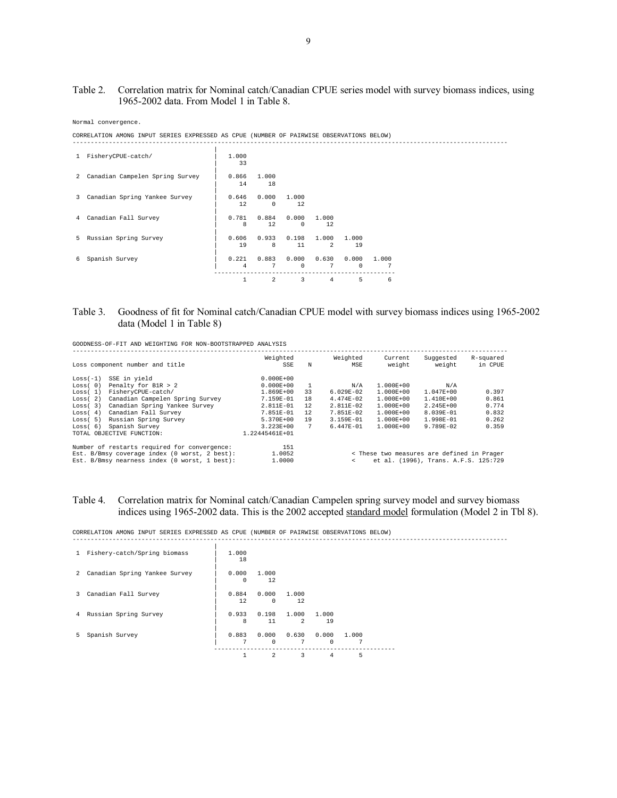# Table 2. Correlation matrix for Nominal catch/Canadian CPUE series model with survey biomass indices, using 1965-2002 data. From Model 1 in Table 8.

Normal convergence.

CORRELATION AMONG INPUT SERIES EXPRESSED AS CPUE (NUMBER OF PAIRWISE OBSERVATIONS BELOW)

| 1 FisheryCPUE-catch/              | 1,000<br>33             |                     |                     |                         |                   |            |  |
|-----------------------------------|-------------------------|---------------------|---------------------|-------------------------|-------------------|------------|--|
| 2 Canadian Campelen Spring Survey | 0.866                   | 1,000               |                     |                         |                   |            |  |
|                                   | 14                      | 18                  |                     |                         |                   |            |  |
| 3 Canadian Spring Yankee Survey   | 0.646<br>12             | 0.000<br>$^{\circ}$ | 1,000<br>12         |                         |                   |            |  |
| 4 Canadian Fall Survey            | 0.781<br>8              | 0.884<br>12         | 0.000<br>$^{\circ}$ | 1,000<br>12             |                   |            |  |
|                                   |                         |                     |                     |                         |                   |            |  |
| 5 Russian Spring Survey           | 0.606<br>19             | 0.933<br>8          | 0.198<br>11         | 1,000<br>$\mathfrak{D}$ | 1,000<br>19       |            |  |
| 6 Spanish Survey                  | 0.221<br>$\overline{4}$ | 0.883<br>7          | 0.000<br>$^{\circ}$ | 0.630<br>7              | 0.000<br>$\Omega$ | 1,000<br>7 |  |
|                                   | 1                       | 2                   | 3                   | 4                       | 5                 | 6          |  |

# Table 3. Goodness of fit for Nominal catch/Canadian CPUE model with survey biomass indices using 1965-2002 data (Model 1 in Table 8)

GOODNESS-OF-FIT AND WEIGHTING FOR NON-BOOTSTRAPPED ANALYSIS

|            | Loss component number and title               | Weighted<br>SSE | N  | Weighted<br>MSE                                    | Current<br>weight                          | Suggested<br>weight | R-squared<br>in CPUE |  |  |  |
|------------|-----------------------------------------------|-----------------|----|----------------------------------------------------|--------------------------------------------|---------------------|----------------------|--|--|--|
| $Loss(-1)$ | SSE in yield                                  | $0.000E + 00$   |    |                                                    |                                            |                     |                      |  |  |  |
| Loss(0)    | Penalty for B1R > 2                           | $0.000E + 00$   | -1 | N/A                                                | 1.000E+00                                  | N/A                 |                      |  |  |  |
| Loss(1)    | FisheryCPUE-catch/                            | 1.869E+00       | 33 | $6.029E-02$                                        | $1.000E + 00$                              | 1.047E+00           | 0.397                |  |  |  |
| Loss(2)    | Canadian Campelen Spring Survey               | 7.159E-01       | 18 | $4.474E-02$                                        | 1.000E+00                                  | $1.410E + 00$       | 0.861                |  |  |  |
| Loss(3)    | Canadian Spring Yankee Survey                 | 2.811E-01       | 12 | 2.811E-02                                          | $1.000E + 00$                              | 2.245E+00           | 0.774                |  |  |  |
| Loss(4)    | Canadian Fall Survey                          | 7.851E-01       | 12 | 7.851E-02                                          | $1.000E + 00$                              | 8.039E-01           | 0.832                |  |  |  |
| Loss(5)    | Russian Spring Survey                         | 5.370E+00       | 19 | 3.159E-01                                          | $1.000E + 00$                              | 1.998E-01           | 0.262                |  |  |  |
| Loss(6)    | Spanish Survey                                | $3.223E + 00$   | 7  | $6.447E - 01$                                      | $1.000E + 00$                              | $9.789E - 02$       | 0.359                |  |  |  |
|            | TOTAL OBJECTIVE FUNCTION:                     | 1.22445461E+01  |    |                                                    |                                            |                     |                      |  |  |  |
|            | Number of restarts required for convergence:  | 151             |    |                                                    |                                            |                     |                      |  |  |  |
|            | Est. B/Bmsy coverage index (0 worst, 2 best): | 1.0052          |    |                                                    | < These two measures are defined in Prager |                     |                      |  |  |  |
|            | Est. B/Bmsy nearness index (0 worst, 1 best): | 1,0000          |    | et al. (1996), Trans. A.F.S. 125:729<br>$\epsilon$ |                                            |                     |                      |  |  |  |

# Table 4. Correlation matrix for Nominal catch/Canadian Campelen spring survey model and survey biomass indices using 1965-2002 data. This is the 2002 accepted standard model formulation (Model 2 in Tbl 8).

------------------------------------------------------------------------------------------------------------------------

CORRELATION AMONG INPUT SERIES EXPRESSED AS CPUE (NUMBER OF PAIRWISE OBSERVATIONS BELOW)

| $\mathbf{1}$   | Fishery-catch/Spring biomass  | 1,000<br>18  |                   |                         |                                     |            |  |
|----------------|-------------------------------|--------------|-------------------|-------------------------|-------------------------------------|------------|--|
| $\mathcal{L}$  | Canadian Spring Yankee Survey | 0.000<br>0   | 1,000<br>12       |                         |                                     |            |  |
| 3              | Canadian Fall Survey          | 0.884<br>12. | 0.000<br>$\Omega$ | 1.000<br>12             |                                     |            |  |
| $\overline{4}$ | Russian Spring Survey         | 0.933<br>8   | 0.198<br>11       | 1.000<br>$\mathfrak{D}$ | 1,000<br>19                         |            |  |
| 5.             | Spanish Survey                | 0.883<br>7   | $\Omega$          | 7                       | $0.000$ $0.630$ $0.000$<br>$\Omega$ | 1.000<br>7 |  |
|                |                               | 1            | $\mathfrak{D}$    | 3                       | 4                                   | 5          |  |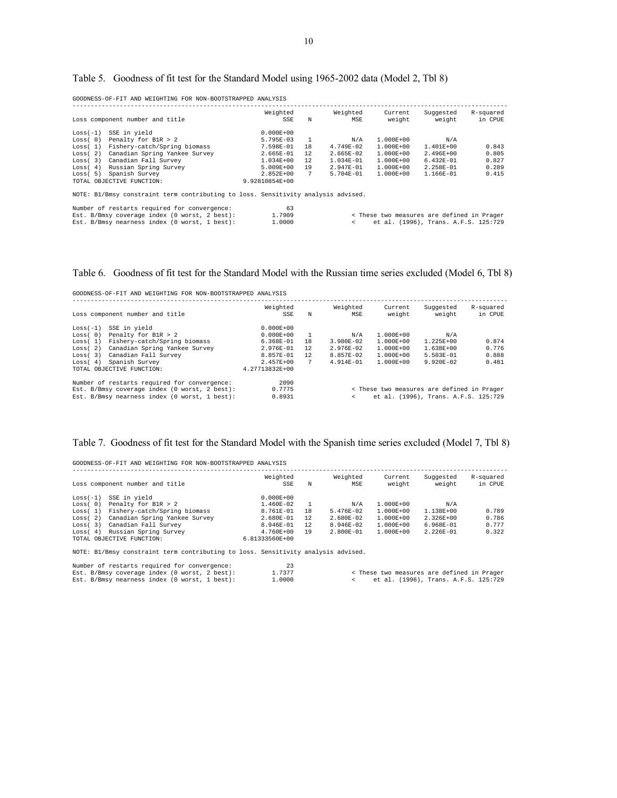| Table 5. Goodness of fit test for the Standard Model using 1965-2002 data (Model 2, Tbl 8) |  |  |  |
|--------------------------------------------------------------------------------------------|--|--|--|
|                                                                                            |  |  |  |

GOODNESS-OF-FIT AND WEIGHTING FOR NON-BOOTSTRAPPED ANALYSIS

| Loss component number and title               | Weighted<br>SSE | N              | Weighted<br>MSE | Current<br>weight                                                                 | Suggested<br>weight | R-squared<br>in CPUE                                                               |
|-----------------------------------------------|-----------------|----------------|-----------------|-----------------------------------------------------------------------------------|---------------------|------------------------------------------------------------------------------------|
| SSE in yield                                  | $0.000E + 00$   |                |                 |                                                                                   |                     |                                                                                    |
| Penalty for B1R > 2                           | $5.795E - 03$   | $\overline{1}$ | N/A             | $1.000E + 00$                                                                     | N/A                 |                                                                                    |
| Fishery-catch/Spring biomass                  | $7.598E - 01$   | 18             | $4.749E - 02$   | $1.000E + 00$                                                                     | $1.401E + 00$       | 0.843                                                                              |
| Canadian Spring Yankee Survey                 | $2.665E - 01$   | 12             | $2.665E - 02$   | $1.000E + 00$                                                                     | $2.496E + 00$       | 0.805                                                                              |
| Canadian Fall Survey                          | $1.034E + 00$   | 12             | $1.034E - 01$   | $1.000E + 00$                                                                     | $6.432E - 01$       | 0.827                                                                              |
| Russian Spring Survey                         | $5.009E + 00$   | 19             | $2.947E - 01$   | $1.000E + 00$                                                                     | $2.258E - 01$       | 0.289                                                                              |
| Spanish Survey                                | $2.852E + 00$   | 7              | $5.704E - 01$   | $1.000E + 00$                                                                     | $1.166E - 01$       | 0.415                                                                              |
| TOTAL OBJECTIVE FUNCTION:                     | 9.92810854E+00  |                |                 |                                                                                   |                     |                                                                                    |
|                                               |                 |                |                 |                                                                                   |                     |                                                                                    |
| Number of restarts required for convergence:  | 63              |                |                 |                                                                                   |                     |                                                                                    |
| Est. B/Bmsy coverage index (0 worst, 2 best): | 1,7909          |                |                 |                                                                                   |                     |                                                                                    |
| Est. B/Bmsy nearness index (0 worst, 1 best): | 1,0000          |                | $\epsilon$      |                                                                                   |                     |                                                                                    |
|                                               |                 |                |                 | NOTE: B1/Bmsy constraint term contributing to loss. Sensitivity analysis advised. |                     | < These two measures are defined in Prager<br>et al. (1996), Trans. A.F.S. 125:729 |

# Table 6. Goodness of fit test for the Standard Model with the Russian time series excluded (Model 6, Tbl 8)

GOODNESS-OF-FIT AND WEIGHTING FOR NON-BOOTSTRAPPED ANALYSIS

|            | Loss component number and title               | Weighted<br>SSE | N   | Weighted<br>MSE | Current<br>weight | Suggested<br>weight                        | R-squared<br>in CPUE |
|------------|-----------------------------------------------|-----------------|-----|-----------------|-------------------|--------------------------------------------|----------------------|
| $Loss(-1)$ | SSE in yield                                  | $0.000E + 00$   |     |                 |                   |                                            |                      |
| Loss(0)    | Penalty for B1R > 2                           | $0.000E + 00$   |     | N/A             | $1.000E + 00$     | N/A                                        |                      |
| Loss(1)    | Fishery-catch/Spring biomass                  | $6.368E-01$     | 18  | $3.980E - 02$   | $1.000E + 00$     | $1.225E + 00$                              | 0.874                |
| Loss(2)    | Canadian Spring Yankee Survey                 | $2.976E - 01$   | 12. | $2.976E - 02$   | $1.000E + 00$     | $1.638E + 00$                              | 0.776                |
| Loss(3)    | Canadian Fall Survey                          | $8.857E - 01$   | 12  | $8.857E - 02$   | $1.000E + 00$     | $5.503E - 01$                              | 0.888                |
| Loss(4)    | Spanish Survey                                | $2.457E + 00$   | 7   | $4.914E - 01$   | $1.000E + 00$     | $9.920E - 02$                              | 0.481                |
|            | TOTAL OBJECTIVE FUNCTION:                     | 4.27713832E+00  |     |                 |                   |                                            |                      |
|            | Number of restarts required for convergence:  | 2090            |     |                 |                   |                                            |                      |
|            | Est. B/Bmsy coverage index (0 worst, 2 best): | 0.7775          |     |                 |                   | < These two measures are defined in Prager |                      |
|            | Est. B/Bmsy nearness index (0 worst, 1 best): | 0.8931          |     | $\epsilon$      |                   | et al. (1996), Trans. A.F.S. 125:729       |                      |

## Table 7. Goodness of fit test for the Standard Model with the Spanish time series excluded (Model 7, Tbl 8)

GOODNESS-OF-FIT AND WEIGHTING FOR NON-BOOTSTRAPPED ANALYSIS

|            | Loss component number and title | Weighted<br>SSE | N  | Weighted<br>MSE | Current<br>weight | Suggested<br>weight | R-squared<br>in CPUE |
|------------|---------------------------------|-----------------|----|-----------------|-------------------|---------------------|----------------------|
| $Loss(-1)$ | SSE in yield                    | $0.000E + 00$   |    |                 |                   |                     |                      |
| Loss(0)    | Penalty for B1R > 2             | 1.460E-02       |    | N/A             | $1.000E + 00$     | N/A                 |                      |
| Loss(1)    | Fishery-catch/Spring biomass    | 8.761E-01       | 18 | 5.476E-02       | $1.000E + 00$     | 1.138E+00           | 0.789                |
| Loss(2)    | Canadian Spring Yankee Survey   | 2.680E-01       | 12 | $2.680E - 02$   | $1.000E + 00$     | $2.326E + 00$       | 0.786                |
| Loss(3)    | Canadian Fall Survey            | 8.946E-01       | 12 | $8.946E - 02$   | $1.000E + 00$     | $6.968E - 01$       | 0.777                |
| Loss(4)    | Russian Spring Survey           | 4.760E+00       | 19 | 2.800E-01       | $1.000E + 00$     | 2.226E-01           | 0.322                |
|            | TOTAL OBJECTIVE FUNCTION:       | 6.81333560E+00  |    |                 |                   |                     |                      |

NOTE: B1/Bmsy constraint term contributing to loss. Sensitivity analysis advised.

| Number of restarts required for convergence:  |        |                                            |
|-----------------------------------------------|--------|--------------------------------------------|
| Est. B/Bmsy coverage index (0 worst, 2 best): | 1.7377 | < These two measures are defined in Prager |
| Est. B/Bmsv nearness index (0 worst, 1 best): | 1,0000 | et al. (1996), Trans. A.F.S. 125:729       |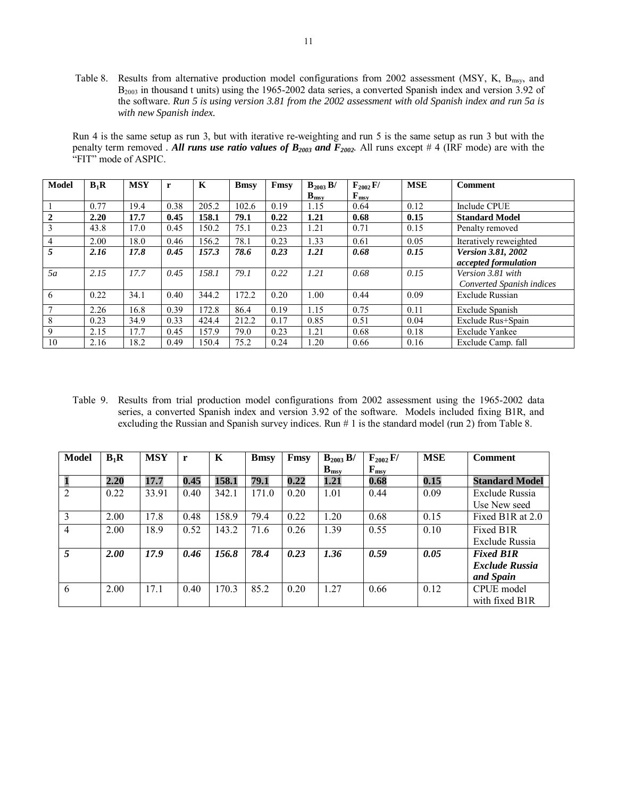Table 8. Results from alternative production model configurations from 2002 assessment (MSY, K, B<sub>msy</sub>, and B2003 in thousand t units) using the 1965-2002 data series, a converted Spanish index and version 3.92 of the software. *Run 5 is using version 3.81 from the 2002 assessment with old Spanish index and run 5a is with new Spanish index.* 

Run 4 is the same setup as run 3, but with iterative re-weighting and run 5 is the same setup as run 3 but with the penalty term removed *. All runs use ratio values of*  $B_{2003}$  *and*  $F_{2002}$ *. All runs except # 4 (IRF mode) are with the* "FIT" mode of ASPIC.

| <b>Model</b> | $B_1R$ | <b>MSY</b> | r    | K     | <b>B</b> msy | Fmsy | $B_{2003} B/$ | $F_{2002}F/$  | <b>MSE</b> | <b>Comment</b>            |
|--------------|--------|------------|------|-------|--------------|------|---------------|---------------|------------|---------------------------|
|              |        |            |      |       |              |      | $B_{\rm msv}$ | $F_{\rm msv}$ |            |                           |
|              | 0.77   | 19.4       | 0.38 | 205.2 | 102.6        | 0.19 | 1.15          | 0.64          | 0.12       | Include CPUE              |
| $\mathbf{2}$ | 2.20   | 17.7       | 0.45 | 158.1 | 79.1         | 0.22 | 1.21          | 0.68          | 0.15       | <b>Standard Model</b>     |
| 3            | 43.8   | 17.0       | 0.45 | 150.2 | 75.1         | 0.23 | 1.21          | 0.71          | 0.15       | Penalty removed           |
| 4            | 2.00   | 18.0       | 0.46 | 156.2 | 78.1         | 0.23 | 1.33          | 0.61          | 0.05       | Iteratively reweighted    |
| 5            | 2.16   | 17.8       | 0.45 | 157.3 | 78.6         | 0.23 | 1.21          | 0.68          | 0.15       | <b>Version 3.81, 2002</b> |
|              |        |            |      |       |              |      |               |               |            | accepted formulation      |
| 5a           | 2.15   | 17.7       | 0.45 | 158.1 | 79.1         | 0.22 | 1.21          | 0.68          | 0.15       | Version 3.81 with         |
|              |        |            |      |       |              |      |               |               |            | Converted Spanish indices |
| 6            | 0.22   | 34.1       | 0.40 | 344.2 | 172.2        | 0.20 | 1.00          | 0.44          | 0.09       | <b>Exclude Russian</b>    |
|              | 2.26   | 16.8       | 0.39 | 172.8 | 86.4         | 0.19 | 1.15          | 0.75          | 0.11       | Exclude Spanish           |
| 8            | 0.23   | 34.9       | 0.33 | 424.4 | 212.2        | 0.17 | 0.85          | 0.51          | 0.04       | Exclude Rus+Spain         |
| 9            | 2.15   | 17.7       | 0.45 | 157.9 | 79.0         | 0.23 | 1.21          | 0.68          | 0.18       | <b>Exclude Yankee</b>     |
| 10           | 2.16   | 18.2       | 0.49 | 150.4 | 75.2         | 0.24 | 1.20          | 0.66          | 0.16       | Exclude Camp. fall        |

Table 9. Results from trial production model configurations from 2002 assessment using the 1965-2002 data series, a converted Spanish index and version 3.92 of the software. Models included fixing B1R, and excluding the Russian and Spanish survey indices. Run # 1 is the standard model (run 2) from Table 8.

| <b>Model</b>   | $B_1R$ | <b>MSY</b> |      | K     | <b>B</b> msy | Fmsy | $B_{2003} B/$             | $F_{2002}$ F/ | <b>MSE</b> | <b>Comment</b>        |  |
|----------------|--------|------------|------|-------|--------------|------|---------------------------|---------------|------------|-----------------------|--|
|                |        |            |      |       |              |      | $\mathbf{B}_{\text{msy}}$ | $F_{\rm msv}$ |            |                       |  |
| $\mathbf{1}$   | 2.20   | 17.7       | 0.45 | 158.1 | 79.1         | 0.22 | 1.21                      | 0.68          | 0.15       | <b>Standard Model</b> |  |
| 2              | 0.22   | 33.91      | 0.40 | 342.1 | 171.0        | 0.20 | 1.01                      | 0.44          | 0.09       | Exclude Russia        |  |
|                |        |            |      |       |              |      |                           |               |            | Use New seed          |  |
| $\overline{3}$ | 2.00   | 17.8       | 0.48 | 158.9 | 79.4         | 0.22 | 1.20                      | 0.68          | 0.15       | Fixed B1R at 2.0      |  |
| $\overline{4}$ | 2.00   | 18.9       | 0.52 | 143.2 | 71.6         | 0.26 | 1.39                      | 0.55          | 0.10       | Fixed B <sub>1R</sub> |  |
|                |        |            |      |       |              |      |                           |               |            | Exclude Russia        |  |
| 5              | 2.00   | 17.9       | 0.46 | 156.8 | 78.4         | 0.23 | 1.36                      | 0.59          | 0.05       | <b>Fixed B1R</b>      |  |
|                |        |            |      |       |              |      |                           |               |            | <b>Exclude Russia</b> |  |
|                |        |            |      |       |              |      |                           |               |            | and Spain             |  |
| 6              | 2.00   | 17.1       | 0.40 | 170.3 | 85.2         | 0.20 | 1.27                      | 0.66          | 0.12       | CPUE model            |  |
|                |        |            |      |       |              |      |                           |               |            | with fixed B1R        |  |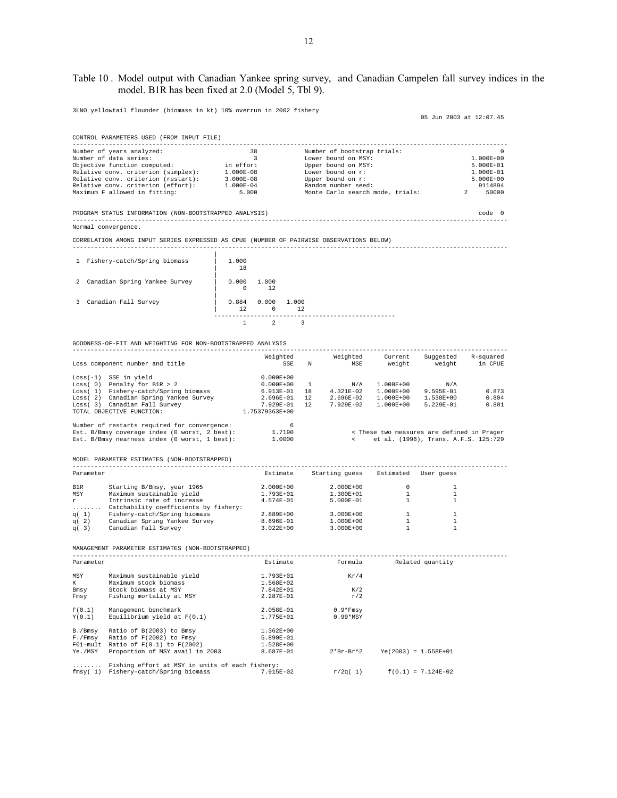## Table 10 . Model output with Canadian Yankee spring survey, and Canadian Campelen fall survey indices in the model. B1R has been fixed at 2.0 (Model 5, Tbl 9).

3LNO yellowtail flounder (biomass in kt) 10% overrun in 2002 fishery

05 Jun 2003 at 12:07.45

------------------------------------------------------------------------------------------------------------------------

| Number of years analyzed:           | 38            | Number of bootstrap trials:      | 0             |  |  |
|-------------------------------------|---------------|----------------------------------|---------------|--|--|
| Number of data series:              |               | Lower bound on MSY:              | $1.000E + 00$ |  |  |
| Objective function computed:        | in effort     | Upper bound on MSY:              | 5.000E+01     |  |  |
| Relative conv. criterion (simplex): | $1.000E-08$   | Lower bound on r:                | $1.000E - 01$ |  |  |
| Relative conv. criterion (restart): | $3.000E - 08$ | Upper bound on r:                | $5.000E + 00$ |  |  |
| Relative conv. criterion (effort):  | 1.000E-04     | Random number seed:              | 9114894       |  |  |
| Maximum F allowed in fitting:       | 5,000         | Monte Carlo search mode, trials: | 50000         |  |  |

PROGRAM STATUS INFORMATION (NON-BOOTSTRAPPED ANALYSIS) code 0 ------------------------------------------------------------------------------------------------------------------------ Normal convergence.

CORRELATION AMONG INPUT SERIES EXPRESSED AS CPUE (NUMBER OF PAIRWISE OBSERVATIONS BELOW)

| $\mathbf{1}$ | Fishery-catch/Spring biomass  | 1,000<br>18 |                   |             |  |
|--------------|-------------------------------|-------------|-------------------|-------------|--|
| 2            | Canadian Spring Yankee Survey | 0.000<br>0  | 1.000<br>12       |             |  |
| 3.           | Canadian Fall Survey          | 0.884<br>12 | 0.000<br>$\Omega$ | 1.000<br>12 |  |
|              |                               |             |                   |             |  |

GOODNESS-OF-FIT AND WEIGHTING FOR NON-BOOTSTRAPPED ANALYSIS

|                                                                                                                                                                                                                                | Loss component number and title                                                                                                                                               |                | SSE N        | MSE                                          |                        | weight weight in CPUE                      |       |
|--------------------------------------------------------------------------------------------------------------------------------------------------------------------------------------------------------------------------------|-------------------------------------------------------------------------------------------------------------------------------------------------------------------------------|----------------|--------------|----------------------------------------------|------------------------|--------------------------------------------|-------|
|                                                                                                                                                                                                                                | Loss(-1) SSE in yield                                                                                                                                                         | $0.000E + 00$  |              |                                              |                        |                                            |       |
|                                                                                                                                                                                                                                | Loss( $0$ ) Penalty for B1R > 2                                                                                                                                               | $0.000E + 00$  | $\mathbf{1}$ | N/A                                          | 1.000E+00              | N/A                                        |       |
|                                                                                                                                                                                                                                | Loss( 1) Fishery-catch/Spring biomass                                                                                                                                         | 6.913E-01      | 18           | 4.321E-02                                    | 1.000E+00              | 9.595E-01                                  | 0.873 |
|                                                                                                                                                                                                                                | Loss( 2) Canadian Spring Yankee Survey                                                                                                                                        | 2.696E-01      | 12           |                                              | 2.696E-02 1.000E+00    | 1.538E+00                                  | 0.804 |
|                                                                                                                                                                                                                                |                                                                                                                                                                               | 7.929E-01      | $12 -$       | 7.929E-02                                    | 1.000E+00              | 5.229E-01                                  | 0.801 |
|                                                                                                                                                                                                                                | $\begin{array}{ll}\n\text{Loss} & 2 & \text{Cumulum } -r - \\ \text{Loss} & 3 & \text{Canadian Fall Survey} \\ \text{max} & \text{otherwise} & \text{FINCTION:}\n\end{array}$ | 1.75379363E+00 |              |                                              |                        |                                            |       |
|                                                                                                                                                                                                                                | Number of restarts required for convergence:                                                                                                                                  | $\sim$ 6       |              |                                              |                        |                                            |       |
|                                                                                                                                                                                                                                | Est. B/Bmsy coverage index (0 worst, 2 best):                                                                                                                                 | 1.7190         |              |                                              |                        | < These two measures are defined in Prager |       |
|                                                                                                                                                                                                                                | Est. B/Bmsy nearness index (0 worst, 1 best):                                                                                                                                 | 1,0000         |              |                                              |                        | < et al. (1996), Trans. A.F.S. 125:729     |       |
|                                                                                                                                                                                                                                | MODEL PARAMETER ESTIMATES (NON-BOOTSTRAPPED)                                                                                                                                  |                |              |                                              |                        |                                            |       |
| Parameter                                                                                                                                                                                                                      |                                                                                                                                                                               |                |              | Estimate Starting quess Estimated User quess |                        |                                            |       |
| B1R and the set of the set of the set of the set of the set of the set of the set of the set of the set of the set of the set of the set of the set of the set of the set of the set of the set of the set of the set of the s | Starting B/Bmsy, year 1965                                                                                                                                                    | 2.000E+00      |              | 2.000E+00                                    | $\circ$                | 1                                          |       |
| MSY                                                                                                                                                                                                                            | Maximum sustainable yield                                                                                                                                                     | 1.793E+01      |              | 1.300E+01                                    | $\overline{1}$         | 1                                          |       |
| $r -$                                                                                                                                                                                                                          | Intrinsic rate of increase                                                                                                                                                    | $4.574E-01$    |              | 5.000E-01                                    | $\mathbf{1}$           | $\mathbf{1}$                               |       |
|                                                                                                                                                                                                                                | Catchability coefficients by fishery:                                                                                                                                         |                |              |                                              |                        |                                            |       |
| q(1)                                                                                                                                                                                                                           | Fishery-catch/Spring biomass                                                                                                                                                  | 2.889E+00      |              | 3.000E+00                                    | $\mathbf{1}$           | $\mathbf{1}$                               |       |
| q(2)                                                                                                                                                                                                                           | Canadian Spring Yankee Survey                                                                                                                                                 | 8.696E-01      |              | 1.000E+00                                    | $\mathbf{1}$           | $\mathbf{1}$                               |       |
| q(3)                                                                                                                                                                                                                           | Canadian Fall Survey                                                                                                                                                          | 3.022E+00      |              | $3.000E + 00$                                | $\overline{1}$         | 1                                          |       |
|                                                                                                                                                                                                                                | MANAGEMENT PARAMETER ESTIMATES (NON-BOOTSTRAPPED)                                                                                                                             |                |              |                                              |                        |                                            |       |
| Parameter                                                                                                                                                                                                                      |                                                                                                                                                                               |                |              | Estimate     Formula   Related quantity      |                        |                                            |       |
| MSY                                                                                                                                                                                                                            | Maximum sustainable yield                                                                                                                                                     | 1.793E+01      |              | Kr/4                                         |                        |                                            |       |
| $K$ $\sim$                                                                                                                                                                                                                     | Maximum stock biomass                                                                                                                                                         | 1.568E+02      |              |                                              |                        |                                            |       |
| Bmsy                                                                                                                                                                                                                           | Stock biomass at MSY                                                                                                                                                          | 7.842E+01      |              | K/2                                          |                        |                                            |       |
| Fmsy                                                                                                                                                                                                                           | Fishing mortality at MSY                                                                                                                                                      | 2.287E-01      |              | r/2                                          |                        |                                            |       |
| F(0.1)                                                                                                                                                                                                                         | Management benchmark                                                                                                                                                          | 2.058E-01      |              | $0.9*Fmsy$                                   |                        |                                            |       |
| Y(0.1)                                                                                                                                                                                                                         | Equilibrium yield at $F(0.1)$                                                                                                                                                 | 1.775E+01      |              | $0.99*$ MSY                                  |                        |                                            |       |
| B./Bmsy                                                                                                                                                                                                                        | Ratio of B(2003) to Bmsy                                                                                                                                                      | 1.362E+00      |              |                                              |                        |                                            |       |
| F./Fmsy                                                                                                                                                                                                                        | Ratio of F(2002) to Fmsy                                                                                                                                                      | 5.890E-01      |              |                                              |                        |                                            |       |
|                                                                                                                                                                                                                                | $F01$ -mult Ratio of $F(0.1)$ to $F(2002)$                                                                                                                                    | 1.528E+00      |              |                                              |                        |                                            |       |
| Ye./MSY                                                                                                                                                                                                                        | Proportion of MSY avail in 2003                                                                                                                                               | 8.687E-01      |              | $2*Br-Br^2$                                  | $Ye(2003) = 1.558E+01$ |                                            |       |
|                                                                                                                                                                                                                                | Fiching offort at MCV in units of each ficheru:                                                                                                                               |                |              |                                              |                        |                                            |       |

........ Fishing effort at MSY in units of each fishery: fmsy( 1) Fishery-catch/Spring biomass 7.915E-02 r/2q( 1) f(0.1) = 7.124E-02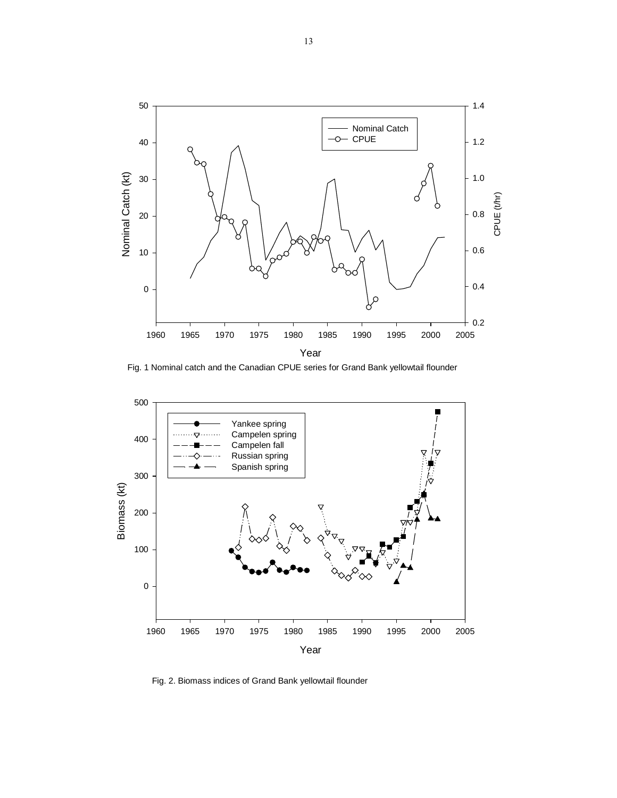

Fig. 1 Nominal catch and the Canadian CPUE series for Grand Bank yellowtail flounder



Fig. 2. Biomass indices of Grand Bank yellowtail flounder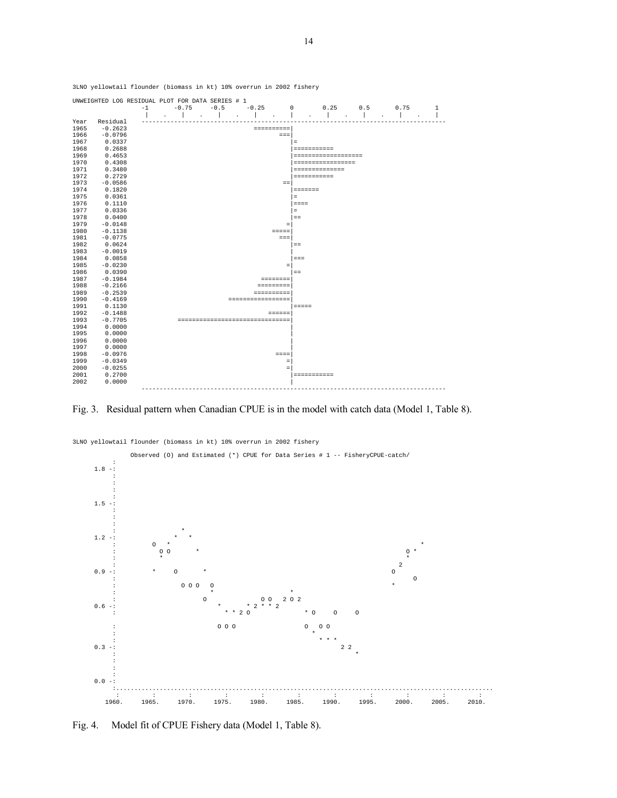

Fig. 3. Residual pattern when Canadian CPUE is in the model with catch data (Model 1, Table 8).



3LNO yellowtail flounder (biomass in kt) 10% overrun in 2002 fishery

Fig. 4. Model fit of CPUE Fishery data (Model 1, Table 8).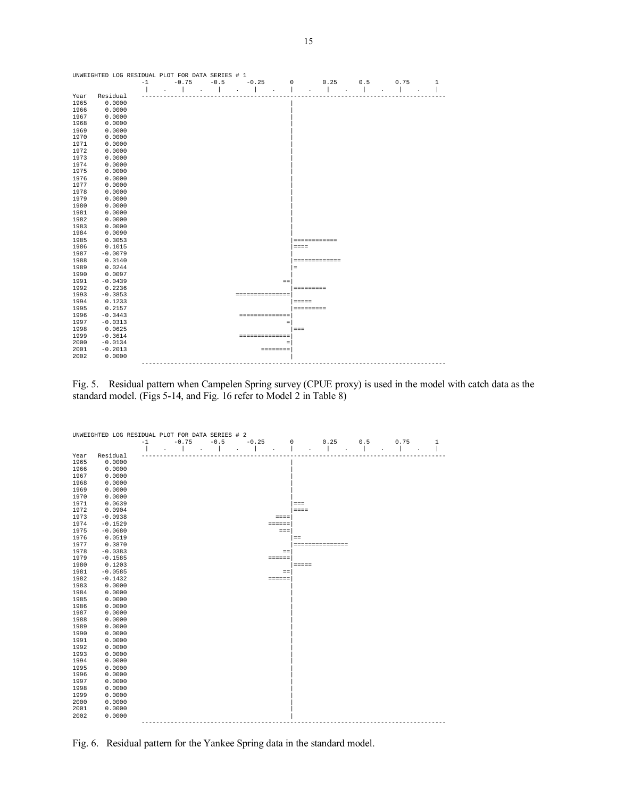| UNWEIGHTED LOG RESIDUAL PLOT FOR DATA SERIES # 1 |           |      |                      |                      |                 |                 |                                 |     |                                              |              |
|--------------------------------------------------|-----------|------|----------------------|----------------------|-----------------|-----------------|---------------------------------|-----|----------------------------------------------|--------------|
|                                                  |           | $-1$ | $-0.75$              | $-0.5$               | $-0.25$         | 0               | 0.25                            | 0.5 | 0.75                                         | $\mathbf{1}$ |
|                                                  |           |      |                      | $\ddot{\phantom{0}}$ | $\cdot$         | $\cdot$         | $\cdot$<br>$\ddot{\phantom{a}}$ |     | $\ddot{\phantom{0}}$<br>$\ddot{\phantom{a}}$ |              |
| Year                                             | Residual  |      |                      |                      |                 |                 |                                 |     |                                              |              |
| 1965                                             | 0.0000    |      |                      |                      |                 |                 |                                 |     |                                              |              |
| 1966                                             | 0.0000    |      |                      |                      |                 |                 |                                 |     |                                              |              |
| 1967                                             | 0.0000    |      |                      |                      |                 |                 |                                 |     |                                              |              |
| 1968                                             | 0.0000    |      |                      |                      |                 |                 |                                 |     |                                              |              |
| 1969                                             | 0.0000    |      |                      |                      |                 |                 |                                 |     |                                              |              |
| 1970                                             | 0.0000    |      |                      |                      |                 |                 |                                 |     |                                              |              |
| 1971                                             | 0.0000    |      |                      |                      |                 |                 |                                 |     |                                              |              |
| 1972                                             | 0.0000    |      |                      |                      |                 |                 |                                 |     |                                              |              |
| 1973                                             | 0.0000    |      |                      |                      |                 |                 |                                 |     |                                              |              |
| 1974                                             | 0.0000    |      |                      |                      |                 |                 |                                 |     |                                              |              |
| 1975                                             | 0.0000    |      |                      |                      |                 |                 |                                 |     |                                              |              |
| 1976                                             | 0.0000    |      |                      |                      |                 |                 |                                 |     |                                              |              |
| 1977                                             | 0.0000    |      |                      |                      |                 |                 |                                 |     |                                              |              |
| 1978                                             | 0.0000    |      |                      |                      |                 |                 |                                 |     |                                              |              |
| 1979                                             | 0.0000    |      |                      |                      |                 |                 |                                 |     |                                              |              |
| 1980                                             | 0.0000    |      |                      |                      |                 |                 |                                 |     |                                              |              |
| 1981                                             | 0.0000    |      |                      |                      |                 |                 |                                 |     |                                              |              |
| 1982                                             | 0.0000    |      |                      |                      |                 |                 |                                 |     |                                              |              |
| 1983                                             | 0.0000    |      |                      |                      |                 |                 |                                 |     |                                              |              |
| 1984                                             | 0.0090    |      |                      |                      |                 |                 |                                 |     |                                              |              |
| 1985                                             | 0.3053    |      |                      |                      |                 |                 | ============                    |     |                                              |              |
| 1986                                             | 0.1015    |      |                      |                      |                 |                 | $= = = =$                       |     |                                              |              |
| 1987                                             | $-0.0079$ |      |                      |                      |                 |                 |                                 |     |                                              |              |
| 1988                                             | 0.3140    |      |                      |                      |                 |                 | =============                   |     |                                              |              |
| 1989                                             | 0.0244    |      |                      |                      |                 |                 | Ξ                               |     |                                              |              |
| 1990                                             | 0.0097    |      |                      |                      |                 |                 |                                 |     |                                              |              |
| 1991                                             | $-0.0439$ |      |                      |                      |                 | $=$             |                                 |     |                                              |              |
| 1992                                             | 0.2236    |      |                      |                      |                 |                 | =========                       |     |                                              |              |
| 1993                                             | $-0.3853$ |      |                      |                      | =============== |                 |                                 |     |                                              |              |
| 1994                                             | 0.1233    |      |                      |                      |                 |                 | <b>EEEEE</b>                    |     |                                              |              |
| 1995                                             | 0.2157    |      |                      |                      |                 |                 | <b>SEESSEESS</b>                |     |                                              |              |
| 1996                                             | $-0.3443$ |      |                      |                      | ==============  |                 |                                 |     |                                              |              |
| 1997                                             | $-0.0313$ |      |                      |                      |                 | $\equiv$        |                                 |     |                                              |              |
| 1998                                             | 0.0625    |      |                      |                      |                 |                 | $=$ $=$ $=$                     |     |                                              |              |
| 1999                                             | $-0.3614$ |      |                      |                      | ==============  |                 |                                 |     |                                              |              |
| 2000                                             | $-0.0134$ |      |                      |                      |                 | $\equiv$        |                                 |     |                                              |              |
| 2001                                             | $-0.2013$ |      |                      |                      |                 | <b>ESSESSES</b> |                                 |     |                                              |              |
| 2002                                             | 0.0000    |      |                      |                      |                 |                 |                                 |     |                                              |              |
|                                                  |           |      | -------------------- |                      |                 |                 |                                 |     |                                              |              |

Fig. 5. Residual pattern when Campelen Spring survey (CPUE proxy) is used in the model with catch data as the standard model. (Figs 5-14, and Fig. 16 refer to Model 2 in Table 8)



Fig. 6. Residual pattern for the Yankee Spring data in the standard model.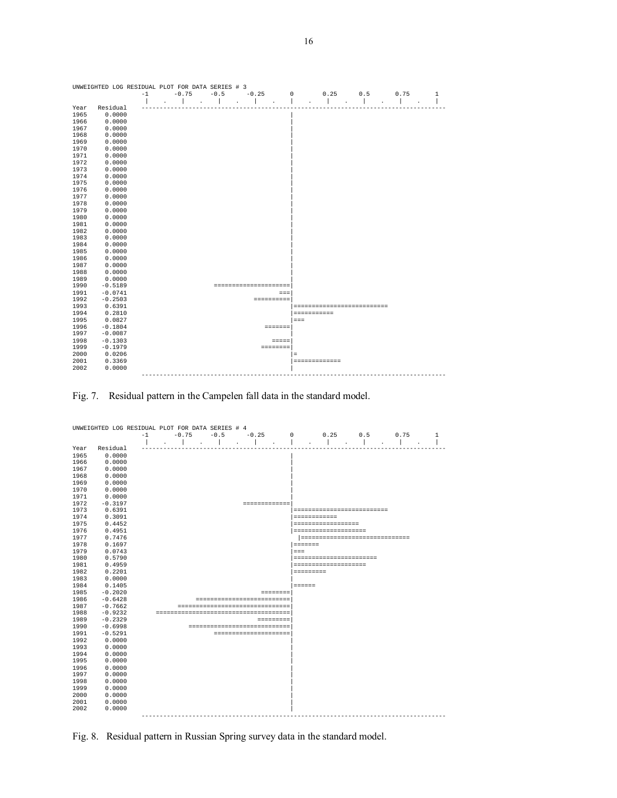

Fig. 7. Residual pattern in the Campelen fall data in the standard model.



Fig. 8. Residual pattern in Russian Spring survey data in the standard model.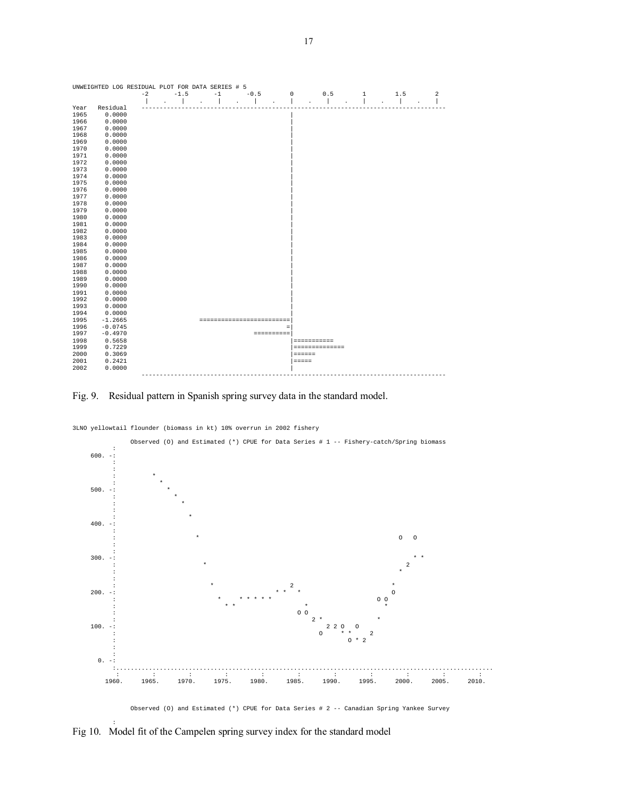

#### Fig. 9. Residual pattern in Spanish spring survey data in the standard model.



3LNO yellowtail flounder (biomass in kt) 10% overrun in 2002 fishery

Fig 10. Model fit of the Campelen spring survey index for the standard model

: 100 million 100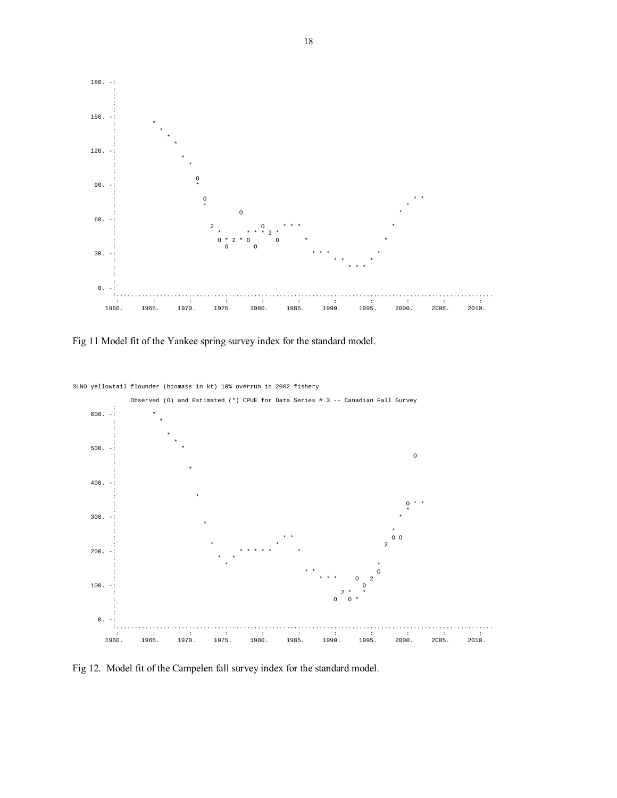

Fig 11 Model fit of the Yankee spring survey index for the standard model.



Fig 12. Model fit of the Campelen fall survey index for the standard model.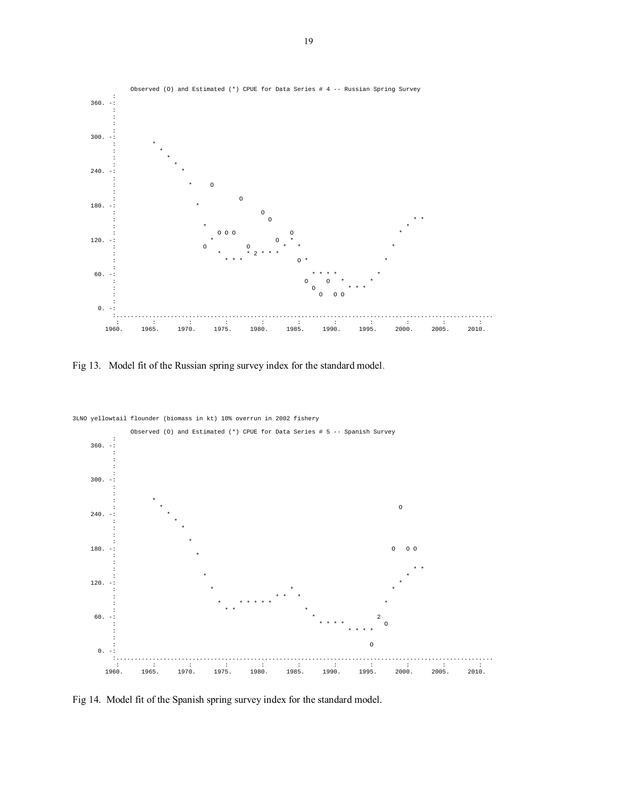

Fig 13. Model fit of the Russian spring survey index for the standard model.



Fig 14. Model fit of the Spanish spring survey index for the standard model.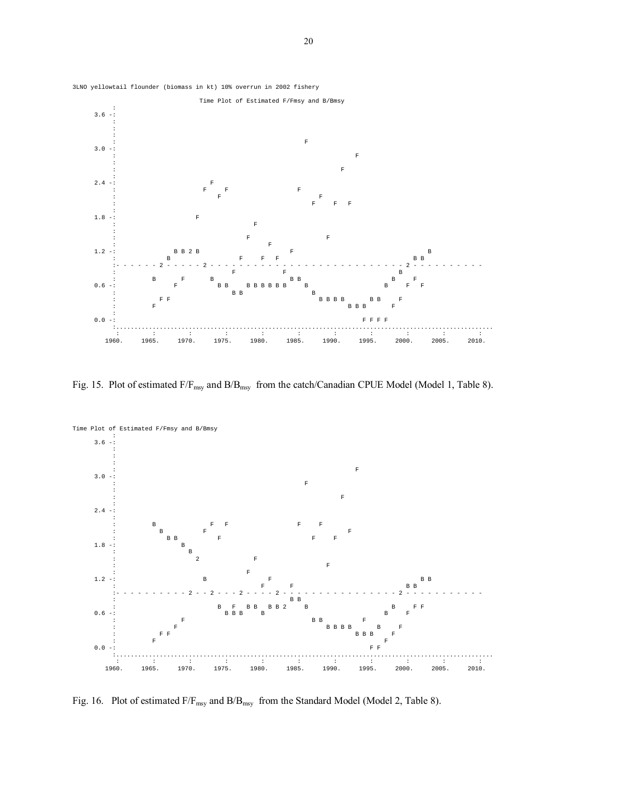

Fig. 15. Plot of estimated  $F/F_{msy}$  and  $B/B_{msy}$  from the catch/Canadian CPUE Model (Model 1, Table 8).



Fig. 16. Plot of estimated  $F/F_{msy}$  and  $B/B_{msy}$  from the Standard Model (Model 2, Table 8).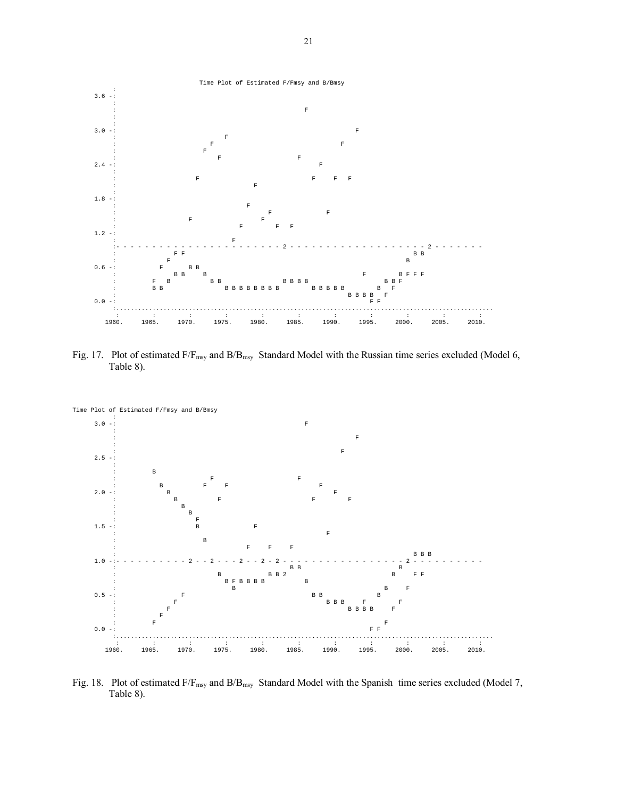

Fig. 17. Plot of estimated F/F<sub>msy</sub> and B/B<sub>msy</sub> Standard Model with the Russian time series excluded (Model 6, Table 8).



Fig. 18. Plot of estimated F/F<sub>msy</sub> and B/B<sub>msy</sub> Standard Model with the Spanish time series excluded (Model 7, Table 8).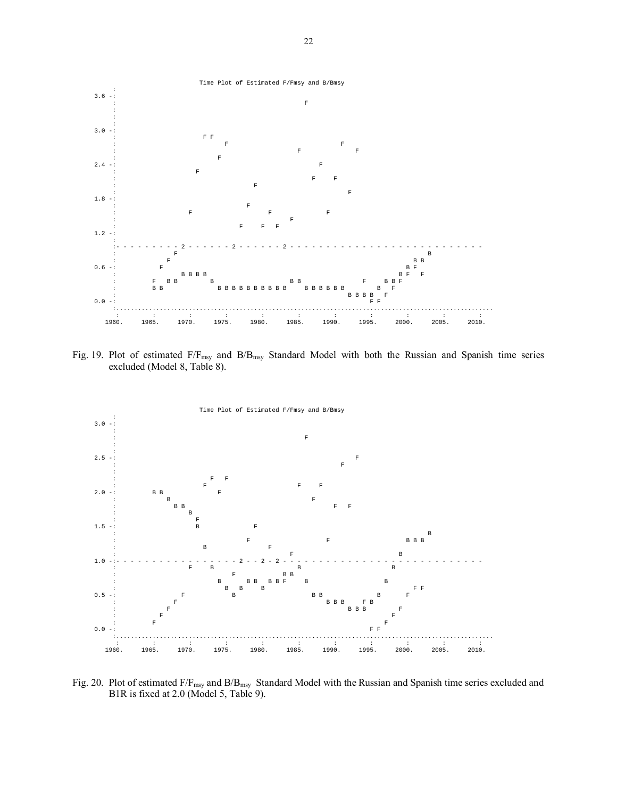

Fig. 19. Plot of estimated  $F/F_{msy}$  and  $B/B_{msy}$  Standard Model with both the Russian and Spanish time series excluded (Model 8, Table 8).



Fig. 20. Plot of estimated F/F<sub>msy</sub> and B/B<sub>msy</sub> Standard Model with the Russian and Spanish time series excluded and B1R is fixed at 2.0 (Model 5, Table 9).